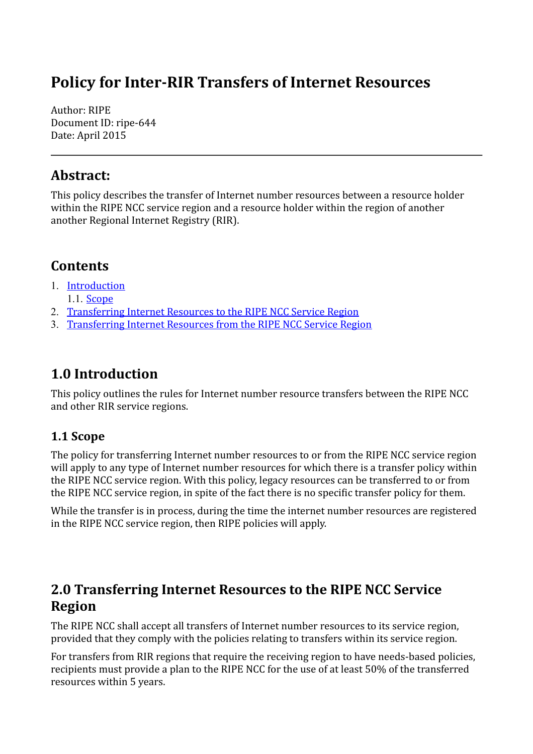# **Policy for Inter-RIR Transfers of Internet Resources**

Author: RIPE Document ID: ripe-644 Date: April 2015

#### **Abstract:**

This policy describes the transfer of Internet number resources between a resource holder within the RIPE NCC service region and a resource holder within the region of another another Regional Internet Registry (RIR).

### **Contents**

- 1. [Introduction](#page-0-2)
	- 1.1. [Scope](#page-0-1)
- 2. [Transferring Internet Resources to the RIPE NCC Service Region](#page-0-0)
- 3. [Transferring Internet Resources from the RIPE NCC Service Region](#page-1-0)

## <span id="page-0-2"></span>**1.0 Introduction**

This policy outlines the rules for Internet number resource transfers between the RIPE NCC and other RIR service regions.

#### <span id="page-0-1"></span>**1.1 Scope**

The policy for transferring Internet number resources to or from the RIPE NCC service region will apply to any type of Internet number resources for which there is a transfer policy within the RIPE NCC service region. With this policy, legacy resources can be transferred to or from the RIPE NCC service region, in spite of the fact there is no specific transfer policy for them.

While the transfer is in process, during the time the internet number resources are registered in the RIPE NCC service region, then RIPE policies will apply.

#### <span id="page-0-0"></span>**2.0 Transferring Internet Resources to the RIPE NCC Service Region**

The RIPE NCC shall accept all transfers of Internet number resources to its service region, provided that they comply with the policies relating to transfers within its service region.

For transfers from RIR regions that require the receiving region to have needs-based policies, recipients must provide a plan to the RIPE NCC for the use of at least 50% of the transferred resources within 5 years.